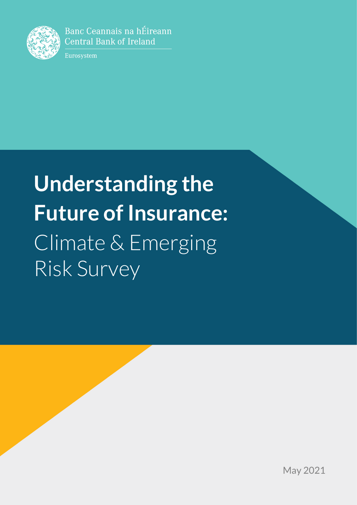

Banc Ceannais na hÉireann **Central Bank of Ireland** 

Eurosystem

# **Understanding the Future of Insurance:** Climate & Emerging Risk Survey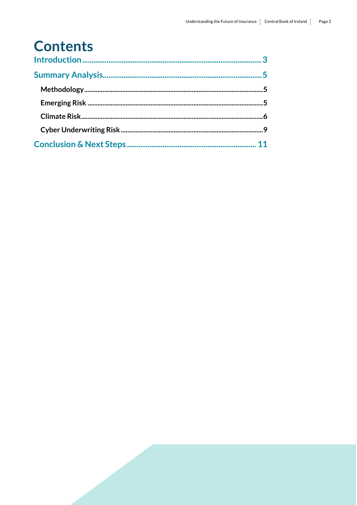# **Contents**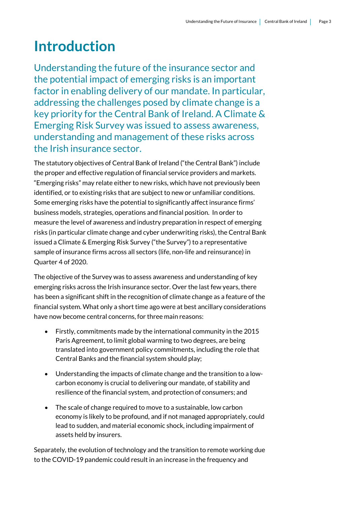## <span id="page-2-0"></span>**Introduction**

Understanding the future of the insurance sector and the potential impact of emerging risks is an important factor in enabling delivery of our mandate. In particular, addressing the challenges posed by climate change is a key priority for the Central Bank of Ireland. A Climate & Emerging Risk Survey was issued to assess awareness, understanding and management of these risks across the Irish insurance sector.

The statutory objectives of Central Bank of Ireland ("the Central Bank") include the proper and effective regulation of financial service providers and markets. "Emerging risks" may relate either to new risks, which have not previously been identified, or to existing risks that are subject to new or unfamiliar conditions. Some emerging risks have the potential to significantly affect insurance firms' business models, strategies, operations and financial position. In order to measure the level of awareness and industry preparation in respect of emerging risks (in particular climate change and cyber underwriting risks), the Central Bank issued a Climate & Emerging Risk Survey ("the Survey") to a representative sample of insurance firms across all sectors (life, non-life and reinsurance) in Quarter 4 of 2020.

The objective of the Survey was to assess awareness and understanding of key emerging risks across the Irish insurance sector. Over the last few years, there has been a significant shift in the recognition of climate change as a feature of the financial system. What only a short time ago were at best ancillary considerations have now become central concerns, for three main reasons:

- Firstly, commitments made by the international community in the 2015 Paris Agreement, to limit global warming to two degrees, are being translated into government policy commitments, including the role that Central Banks and the financial system should play;
- Understanding the impacts of climate change and the transition to a lowcarbon economy is crucial to delivering our mandate, of stability and resilience of the financial system, and protection of consumers; and
- The scale of change required to move to a sustainable, low carbon economy is likely to be profound, and if not managed appropriately, could lead to sudden, and material economic shock, including impairment of assets held by insurers.

Separately, the evolution of technology and the transition to remote working due to the COVID-19 pandemic could result in an increase in the frequency and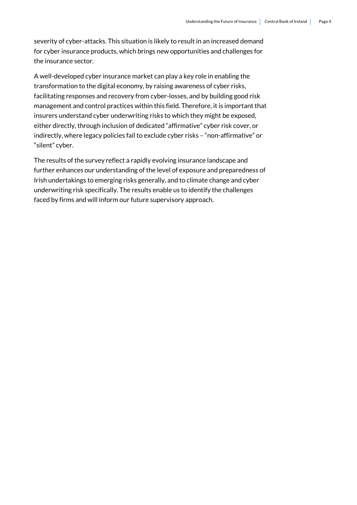severity of cyber-attacks. This situation is likely to result in an increased demand for cyber insurance products, which brings new opportunities and challenges for the insurance sector.

A well-developed cyber insurance market can play a key role in enabling the transformation to the digital economy, by raising awareness of cyber risks, facilitating responses and recovery from cyber-losses, and by building good risk management and control practices within this field. Therefore, it is important that insurers understand cyber underwriting risks to which they might be exposed, either directly, through inclusion of dedicated "affirmative" cyber risk cover, or indirectly, where legacy policies fail to exclude cyber risks – "non-affirmative" or "silent" cyber.

The results of the survey reflect a rapidly evolving insurance landscape and further enhances our understanding of the level of exposure and preparedness of Irish undertakings to emerging risks generally, and to climate change and cyber underwriting risk specifically. The results enable us to identify the challenges faced by firms and will inform our future supervisory approach.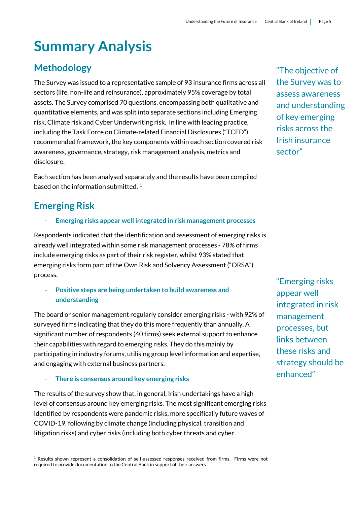# <span id="page-4-0"></span>**Summary Analysis**

### <span id="page-4-1"></span>**Methodology**

The Survey was issued to a representative sample of 93 insurance firms across all sectors (life, non-life and reinsurance), approximately 95% coverage by total assets. The Survey comprised 70 questions, encompassing both qualitative and quantitative elements, and was split into separate sections including Emerging risk, Climate risk and Cyber Underwriting risk. In line with leading practice, including the Task Force on Climate-related Financial Disclosures ("TCFD") recommended framework, the key components within each section covered risk awareness, governance, strategy, risk management analysis, metrics and disclosure.

Each section has been analysed separately and the results have been compiled based on the information submitted.<sup>[1](#page-4-3)</sup>

### <span id="page-4-2"></span>**Emerging Risk**

#### - **Emerging risks appear well integrated in risk management processes**

Respondents indicated that the identification and assessment of emerging risks is already well integrated within some risk management processes - 78% of firms include emerging risks as part of their risk register, whilst 93% stated that emerging risks form part of the Own Risk and Solvency Assessment ("ORSA") process.

#### - **Positive steps are being undertaken to build awareness and understanding**

The board or senior management regularly consider emerging risks - with 92% of surveyed firms indicating that they do this more frequently than annually. A significant number of respondents (40 firms) seek external support to enhance their capabilities with regard to emerging risks. They do this mainly by participating in industry forums, utilising group level information and expertise, and engaging with external business partners.

#### There is consensus around key emerging risks

The results of the survey show that, in general, Irish undertakings have a high level of consensus around key emerging risks. The most significant emerging risks identified by respondents were pandemic risks, more specifically future waves of COVID-19, following by climate change (including physical, transition and litigation risks) and cyber risks (including both cyber threats and cyber

"The objective of the Survey was to assess awareness and understanding of key emerging risks across the Irish insurance sector"

"Emerging risks appear well integrated in risk management processes, but links between these risks and strategy should be enhanced"

<span id="page-4-3"></span><sup>&</sup>lt;sup>1</sup> Results shown represent a consolidation of self-assessed responses received from firms. Firms were not required to provide documentation to the Central Bank in support of their answers.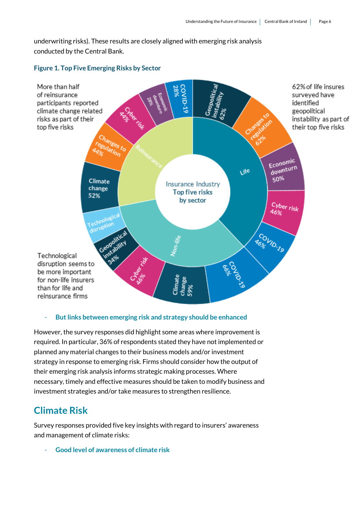underwriting risks). These results are closely aligned with emerging risk analysis conducted by the Central Bank.

#### **Figure 1. Top Five Emerging Risks by Sector**



#### - **But links between emerging risk and strategy should be enhanced**

However, the survey responses did highlight some areas where improvement is required. In particular, 36% of respondents stated they have not implemented or planned any material changes to their business models and/or investment strategy in response to emerging risk. Firms should consider how the output of their emerging risk analysis informs strategic making processes. Where necessary, timely and effective measures should be taken to modify business and investment strategies and/or take measures to strengthen resilience.

### <span id="page-5-0"></span>**Climate Risk**

Survey responses provided five key insights with regard to insurers' awareness and management of climate risks:

- **Good level of awareness of climate risk**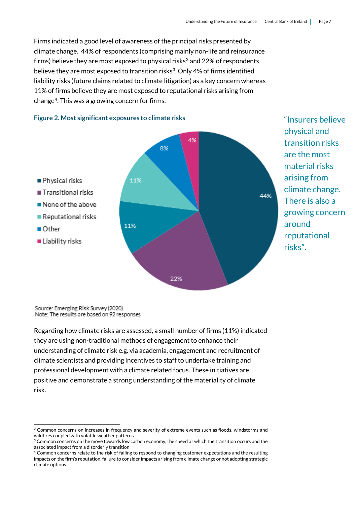Firms indicated a good level of awareness of the principal risks presented by climate change. 44% of respondents (comprising mainly non-life and reinsurance firms) believe they are most exposed to physical risks<sup>[2](#page-6-0)</sup> and 22% of respondents believe they are most exposed to transition risks<sup>[3](#page-6-1)</sup>. Only 4% of firms identified liability risks (future claims related to climate litigation) as a key concern whereas 11% of firms believe they are most exposed to reputational risks arising from chang[e4](#page-6-2). This was a growing concern for firms.

**Figure 2. Most significant exposures to climate risks** 



"Insurers believe physical and transition risks are the most material risks arising from climate change. There is also a growing concern around reputational risks".

Source: Emerging Risk Survey (2020) Note: The results are based on 92 responses

Regarding how climate risks are assessed, a small number of firms (11%) indicated they are using non-traditional methods of engagement to enhance their understanding of climate risk e.g. via academia, engagement and recruitment of climate scientists and providing incentives to staff to undertake training and professional development with a climate related focus. These initiatives are positive and demonstrate a strong understanding of the materiality of climate risk.

<span id="page-6-0"></span> $2$  Common concerns on increases in frequency and severity of extreme events such as floods, windstorms and wildfires coupled with volatile weather patterns

<span id="page-6-1"></span> $3$  Common concerns on the move towards low carbon economy, the speed at which the transition occurs and the associated impact from a disorderly transition

<span id="page-6-2"></span><sup>4</sup> Common concerns relate to the risk of failing to respond to changing customer expectations and the resulting impacts on the firm's reputation, failure to consider impacts arising from climate change or not adopting strategic climate options.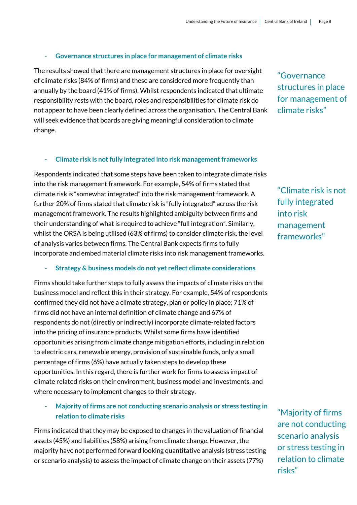#### - **Governance structures in place for management of climate risks**

The results showed that there are management structures in place for oversight of climate risks (84% of firms) and these are considered more frequently than annually by the board (41% of firms). Whilst respondents indicated that ultimate responsibility rests with the board, roles and responsibilities for climate risk do not appear to have been clearly defined across the organisation. The Central Bank will seek evidence that boards are giving meaningful consideration to climate change.

#### - **Climate risk is not fully integrated into risk management frameworks**

Respondents indicated that some steps have been taken to integrate climate risks into the risk management framework. For example, 54% of firms stated that climate risk is "somewhat integrated" into the risk management framework. A further 20% of firms stated that climate risk is "fully integrated" across the risk management framework. The results highlighted ambiguity between firms and their understanding of what is required to achieve "full integration". Similarly, whilst the ORSA is being utilised (63% of firms) to consider climate risk, the level of analysis varies between firms. The Central Bank expects firms to fully incorporate and embed material climate risks into risk management frameworks.

#### - **Strategy & business models do not yet reflect climate considerations**

Firms should take further steps to fully assess the impacts of climate risks on the business model and reflect this in their strategy. For example, 54% of respondents confirmed they did not have a climate strategy, plan or policy in place; 71% of firms did not have an internal definition of climate change and 67% of respondents do not (directly or indirectly) incorporate climate-related factors into the pricing of insurance products. Whilst some firms have identified opportunities arising from climate change mitigation efforts, including in relation to electric cars, renewable energy, provision of sustainable funds, only a small percentage of firms (6%) have actually taken steps to develop these opportunities. In this regard, there is further work for firms to assess impact of climate related risks on their environment, business model and investments, and where necessary to implement changes to their strategy.

#### - **Majority of firms are not conducting scenario analysis or stress testing in relation to climate risks**

Firms indicated that they may be exposed to changes in the valuation of financial assets (45%) and liabilities (58%) arising from climate change. However, the majority have not performed forward looking quantitative analysis (stress testing or scenario analysis) to assess the impact of climate change on their assets (77%)

"Governance structures in place for management of climate risks"

"Climate risk is not fully integrated into risk management frameworks"

"Majority of firms are not conducting scenario analysis or stress testing in relation to climate risks"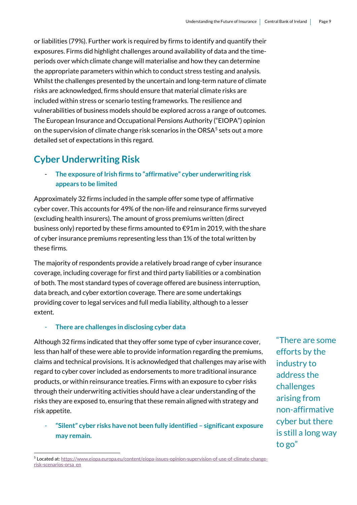or liabilities (79%). Further work is required by firms to identify and quantify their exposures. Firms did highlight challenges around availability of data and the timeperiods over which climate change will materialise and how they can determine the appropriate parameters within which to conduct stress testing and analysis. Whilst the challenges presented by the uncertain and long-term nature of climate risks are acknowledged, firms should ensure that material climate risks are included within stress or scenario testing frameworks. The resilience and vulnerabilities of business models should be explored across a range of outcomes. The European Insurance and Occupational Pensions Authority ("EIOPA") opinion on the supervision of climate change risk scenarios in the ORSA $<sup>5</sup>$  $<sup>5</sup>$  $<sup>5</sup>$  sets out a more</sup> detailed set of expectations in this regard.

### <span id="page-8-0"></span>**Cyber Underwriting Risk**

- **The exposure of Irish firms to "affirmative" cyber underwriting risk appears to be limited**

Approximately 32 firms included in the sample offer some type of affirmative cyber cover. This accounts for 49% of the non-life and reinsurance firms surveyed (excluding health insurers). The amount of gross premiums written (direct business only) reported by these firms amounted to €91m in 2019, with the share of cyber insurance premiums representing less than 1% of the total written by these firms.

The majority of respondents provide a relatively broad range of cyber insurance coverage, including coverage for first and third party liabilities or a combination of both. The most standard types of coverage offered are business interruption, data breach, and cyber extortion coverage. There are some undertakings providing cover to legal services and full media liability, although to a lesser extent.

#### - **There are challenges in disclosing cyber data**

Although 32 firms indicated that they offer some type of cyber insurance cover, less than half of these were able to provide information regarding the premiums, claims and technical provisions. It is acknowledged that challenges may arise with regard to cyber cover included as endorsements to more traditional insurance products, or within reinsurance treaties. Firms with an exposure to cyber risks through their underwriting activities should have a clear understanding of the risks they are exposed to, ensuring that these remain aligned with strategy and risk appetite.

- **"Silent" cyber risks have not been fully identified – significant exposure may remain.**

"There are some efforts by the industry to address the challenges arising from non-affirmative cyber but there is still a long way to go"

<span id="page-8-1"></span> <sup>5</sup> Located at[: https://www.eiopa.europa.eu/content/eiopa-issues-opinion-supervision-of-use-of-climate-change](https://www.eiopa.europa.eu/content/eiopa-issues-opinion-supervision-of-use-of-climate-change-risk-scenarios-orsa_en)[risk-scenarios-orsa\\_en](https://www.eiopa.europa.eu/content/eiopa-issues-opinion-supervision-of-use-of-climate-change-risk-scenarios-orsa_en)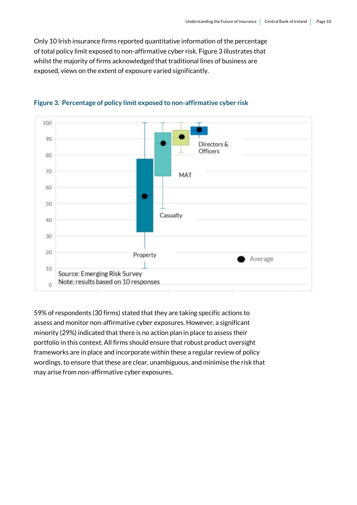Only 10 Irish insurance firms reported quantitative information of the percentage of total policy limit exposed to non-affirmative cyber risk. Figure 3 illustrates that whilst the majority of firms acknowledged that traditional lines of business are exposed, views on the extent of exposure varied significantly.

| 100        |                                     |
|------------|-------------------------------------|
| 90         | Directors &                         |
| 80         | Officers                            |
| 70         | MAT                                 |
| 60         |                                     |
| 50         | ٠                                   |
| 40         | Casualty                            |
| 30         |                                     |
| 20         | Property                            |
|            | Average                             |
| 10         | Source: Emerging Risk Survey        |
| $\ddot{o}$ | Note: results based on 10 responses |

#### **Figure 3. Percentage of policy limit exposed to non-affirmative cyber risk**

59% of respondents (30 firms) stated that they are taking specific actions to assess and monitor non-affirmative cyber exposures. However, a significant minority (29%) indicated that there is no action plan in place to assess their portfolio in this context. All firms should ensure that robust product oversight frameworks are in place and incorporate within these a regular review of policy wordings, to ensure that these are clear, unambiguous, and minimise the risk that may arise from non-affirmative cyber exposures.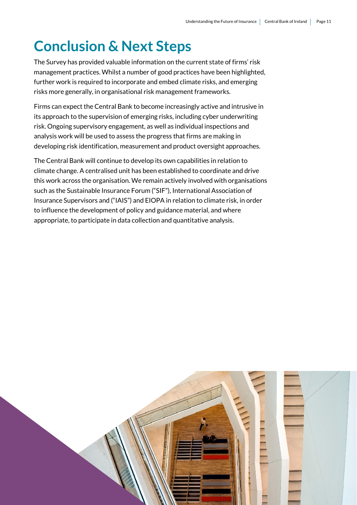# <span id="page-10-0"></span>**Conclusion & Next Steps**

The Survey has provided valuable information on the current state of firms' risk management practices. Whilst a number of good practices have been highlighted, further work is required to incorporate and embed climate risks, and emerging risks more generally, in organisational risk management frameworks.

Firms can expect the Central Bank to become increasingly active and intrusive in its approach to the supervision of emerging risks, including cyber underwriting risk. Ongoing supervisory engagement, as well as individual inspections and analysis work will be used to assess the progress that firms are making in developing risk identification, measurement and product oversight approaches.

The Central Bank will continue to develop its own capabilities in relation to climate change. A centralised unit has been established to coordinate and drive this work across the organisation. We remain actively involved with organisations such as the Sustainable Insurance Forum ("SIF"), International Association of Insurance Supervisors and ("IAIS") and EIOPA in relation to climate risk, in order to influence the development of policy and guidance material, and where appropriate, to participate in data collection and quantitative analysis.